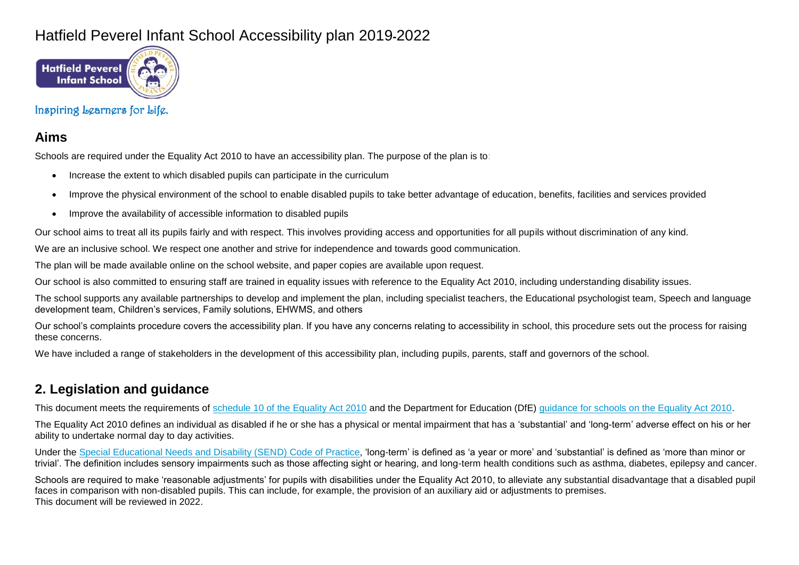## Hatfield Peverel Infant School Accessibility plan 2019**-**2022



## Inspiring Learners for Life.

## **Aims**

Schools are required under the Equality Act 2010 to have an accessibility plan. The purpose of the plan is to:

- Increase the extent to which disabled pupils can participate in the curriculum
- Improve the physical environment of the school to enable disabled pupils to take better advantage of education, benefits, facilities and services provided
- Improve the availability of accessible information to disabled pupils

Our school aims to treat all its pupils fairly and with respect. This involves providing access and opportunities for all pupils without discrimination of any kind.

We are an inclusive school. We respect one another and strive for independence and towards good communication.

The plan will be made available online on the school website, and paper copies are available upon request.

Our school is also committed to ensuring staff are trained in equality issues with reference to the Equality Act 2010, including understanding disability issues.

The school supports any available partnerships to develop and implement the plan, including specialist teachers, the Educational psychologist team, Speech and language development team, Children's services, Family solutions, EHWMS, and others

Our school's complaints procedure covers the accessibility plan. If you have any concerns relating to accessibility in school, this procedure sets out the process for raising these concerns.

We have included a range of stakeholders in the development of this accessibility plan, including pupils, parents, staff and governors of the school.

## **2. Legislation and guidance**

This document meets the requirements of [schedule 10 of the Equality Act 2010](http://www.legislation.gov.uk/ukpga/2010/15/schedule/10) and the Department for Education (DfE) [guidance for schools on the Equality Act 2010.](https://www.gov.uk/government/publications/equality-act-2010-advice-for-schools)

The Equality Act 2010 defines an individual as disabled if he or she has a physical or mental impairment that has a 'substantial' and 'long-term' adverse effect on his or her ability to undertake normal day to day activities.

Under the [Special Educational Needs and Disability \(SEND\) Code of Practice,](https://www.gov.uk/government/publications/send-code-of-practice-0-to-25) 'long-term' is defined as 'a year or more' and 'substantial' is defined as 'more than minor or trivial'. The definition includes sensory impairments such as those affecting sight or hearing, and long-term health conditions such as asthma, diabetes, epilepsy and cancer.

Schools are required to make 'reasonable adjustments' for pupils with disabilities under the Equality Act 2010, to alleviate any substantial disadvantage that a disabled pupil faces in comparison with non-disabled pupils. This can include, for example, the provision of an auxiliary aid or adjustments to premises. This document will be reviewed in 2022.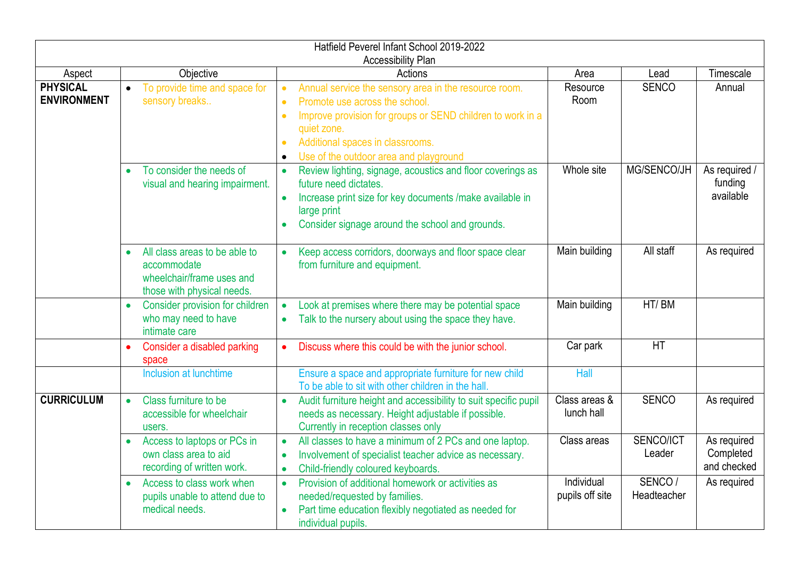| Hatfield Peverel Infant School 2019-2022 |                                                                                                                      |                                                                                                                                                                                                                                                                                                                     |                               |                       |                                         |  |  |
|------------------------------------------|----------------------------------------------------------------------------------------------------------------------|---------------------------------------------------------------------------------------------------------------------------------------------------------------------------------------------------------------------------------------------------------------------------------------------------------------------|-------------------------------|-----------------------|-----------------------------------------|--|--|
| Aspect                                   | Objective                                                                                                            | <b>Accessibility Plan</b><br>Actions                                                                                                                                                                                                                                                                                | Area                          | Lead                  | Timescale                               |  |  |
| <b>PHYSICAL</b><br><b>ENVIRONMENT</b>    | To provide time and space for<br>$\bullet$<br>sensory breaks                                                         | Annual service the sensory area in the resource room.<br>$\bullet$<br>Promote use across the school.<br>$\bullet$<br>Improve provision for groups or SEND children to work in a<br>$\bullet$<br>quiet zone.<br>Additional spaces in classrooms.<br>$\bullet$<br>Use of the outdoor area and playground<br>$\bullet$ | Resource<br>Room              | <b>SENCO</b>          | Annual                                  |  |  |
|                                          | To consider the needs of<br>$\bullet$<br>visual and hearing impairment.                                              | Review lighting, signage, acoustics and floor coverings as<br>$\bullet$<br>future need dictates.<br>Increase print size for key documents /make available in<br>large print<br>Consider signage around the school and grounds.<br>$\bullet$                                                                         | Whole site                    | MG/SENCO/JH           | As required /<br>funding<br>available   |  |  |
|                                          | All class areas to be able to<br>$\bullet$<br>accommodate<br>wheelchair/frame uses and<br>those with physical needs. | Keep access corridors, doorways and floor space clear<br>from furniture and equipment.                                                                                                                                                                                                                              | Main building                 | All staff             | As required                             |  |  |
|                                          | Consider provision for children<br>$\bullet$<br>who may need to have<br>intimate care                                | Look at premises where there may be potential space<br>$\bullet$<br>Talk to the nursery about using the space they have.<br>$\bullet$                                                                                                                                                                               | Main building                 | HT/BM                 |                                         |  |  |
|                                          | Consider a disabled parking<br>space                                                                                 | Discuss where this could be with the junior school.                                                                                                                                                                                                                                                                 | Car park                      | HT                    |                                         |  |  |
|                                          | Inclusion at lunchtime                                                                                               | Ensure a space and appropriate furniture for new child<br>To be able to sit with other children in the hall.                                                                                                                                                                                                        | Hall                          |                       |                                         |  |  |
| <b>CURRICULUM</b>                        | Class furniture to be<br>accessible for wheelchair<br>users.                                                         | Audit furniture height and accessibility to suit specific pupil<br>needs as necessary. Height adjustable if possible.<br>Currently in reception classes only                                                                                                                                                        | Class areas &<br>lunch hall   | <b>SENCO</b>          | As required                             |  |  |
|                                          | Access to laptops or PCs in<br>own class area to aid<br>recording of written work.                                   | All classes to have a minimum of 2 PCs and one laptop.<br>$\bullet$<br>Involvement of specialist teacher advice as necessary.<br>$\bullet$<br>Child-friendly coloured keyboards.<br>$\bullet$                                                                                                                       | Class areas                   | SENCO/ICT<br>Leader   | As required<br>Completed<br>and checked |  |  |
|                                          | Access to class work when<br>$\bullet$<br>pupils unable to attend due to<br>medical needs.                           | Provision of additional homework or activities as<br>$\bullet$<br>needed/requested by families.<br>Part time education flexibly negotiated as needed for<br>individual pupils.                                                                                                                                      | Individual<br>pupils off site | SENCO/<br>Headteacher | As required                             |  |  |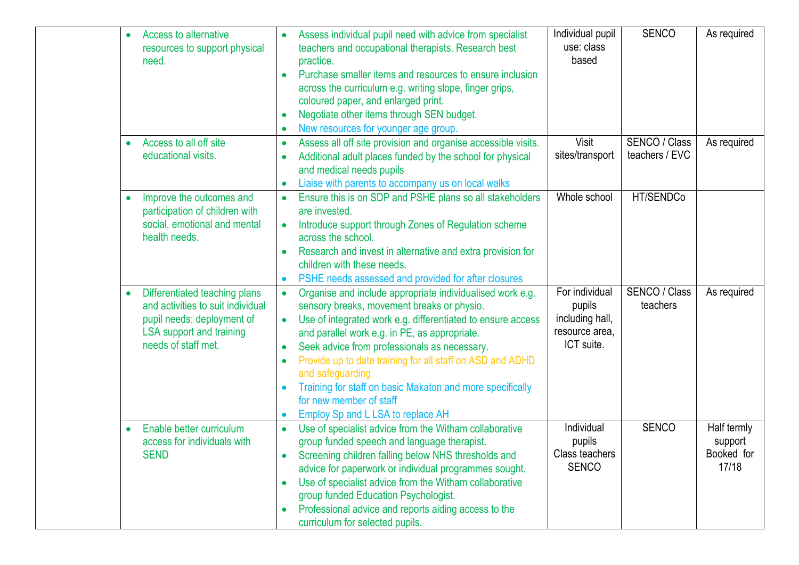| Access to alternative<br>$\bullet$<br>resources to support physical<br>need.                                                                                            | Assess individual pupil need with advice from specialist<br>teachers and occupational therapists. Research best<br>practice.<br>Purchase smaller items and resources to ensure inclusion<br>across the curriculum e.g. writing slope, finger grips,<br>coloured paper, and enlarged print.<br>Negotiate other items through SEN budget.<br>$\bullet$<br>New resources for younger age group.                                                                                                                                  | Individual pupil<br>use: class<br>based                                     | <b>SENCO</b>                     | As required                                   |
|-------------------------------------------------------------------------------------------------------------------------------------------------------------------------|-------------------------------------------------------------------------------------------------------------------------------------------------------------------------------------------------------------------------------------------------------------------------------------------------------------------------------------------------------------------------------------------------------------------------------------------------------------------------------------------------------------------------------|-----------------------------------------------------------------------------|----------------------------------|-----------------------------------------------|
| Access to all off site<br>$\bullet$<br>educational visits.                                                                                                              | Assess all off site provision and organise accessible visits.<br>Additional adult places funded by the school for physical<br>and medical needs pupils<br>Liaise with parents to accompany us on local walks<br>$\bullet$                                                                                                                                                                                                                                                                                                     | Visit<br>sites/transport                                                    | SENCO / Class<br>teachers / EVC  | As required                                   |
| Improve the outcomes and<br>participation of children with<br>social, emotional and mental<br>health needs.                                                             | Ensure this is on SDP and PSHE plans so all stakeholders<br>are invested.<br>Introduce support through Zones of Regulation scheme<br>$\bullet$<br>across the school.<br>Research and invest in alternative and extra provision for<br>$\bullet$<br>children with these needs.<br>PSHE needs assessed and provided for after closures<br>$\bullet$                                                                                                                                                                             | Whole school                                                                | HT/SENDCo                        |                                               |
| Differentiated teaching plans<br>$\bullet$<br>and activities to suit individual<br>pupil needs; deployment of<br><b>LSA</b> support and training<br>needs of staff met. | Organise and include appropriate individualised work e.g.<br>$\bullet$<br>sensory breaks, movement breaks or physio.<br>Use of integrated work e.g. differentiated to ensure access<br>$\bullet$<br>and parallel work e.g. in PE, as appropriate.<br>Seek advice from professionals as necessary.<br>Provide up to date training for all staff on ASD and ADHD<br>$\bullet$<br>and safeguarding.<br>Training for staff on basic Makaton and more specifically<br>for new member of staff<br>Employ Sp and L LSA to replace AH | For individual<br>pupils<br>including hall,<br>resource area,<br>ICT suite. | <b>SENCO / Class</b><br>teachers | As required                                   |
| Enable better curriculum<br>$\bullet$<br>access for individuals with<br><b>SEND</b>                                                                                     | Use of specialist advice from the Witham collaborative<br>$\bullet$<br>group funded speech and language therapist.<br>Screening children falling below NHS thresholds and<br>advice for paperwork or individual programmes sought.<br>Use of specialist advice from the Witham collaborative<br>group funded Education Psychologist.<br>Professional advice and reports aiding access to the<br>curriculum for selected pupils.                                                                                               | Individual<br>pupils<br>Class teachers<br><b>SENCO</b>                      | <b>SENCO</b>                     | Half termly<br>support<br>Booked for<br>17/18 |